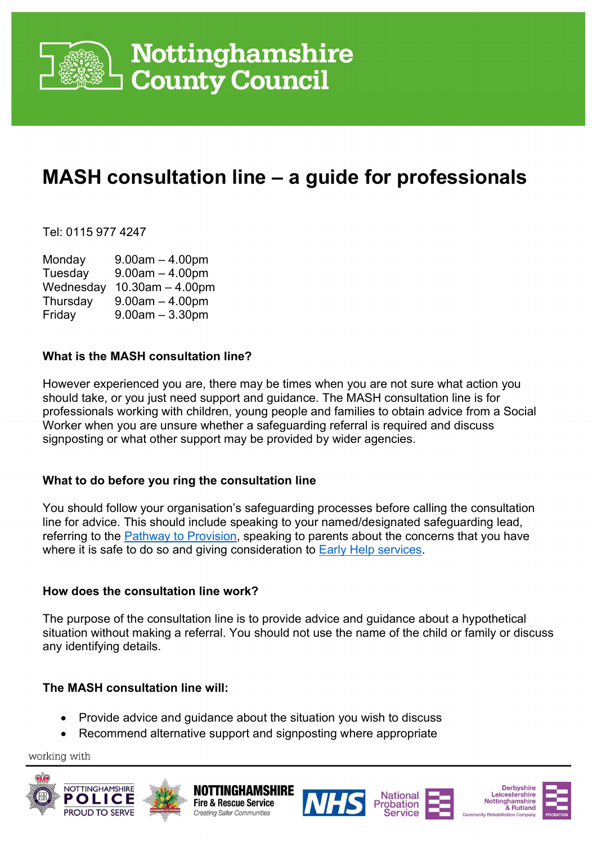

## Nottinghamshire **County Council**

### MASH consultation line – a guide for professionals

Tel: 0115 977 4247

Monday 9.00am – 4.00pm Tuesday 9.00am – 4.00pm Wednesday 10.30am – 4.00pm Thursday  $9.00$ am  $-4.00$ pm Friday 9.00am – 3.30pm

#### What is the MASH consultation line?

However experienced you are, there may be times when you are not sure what action you should take, or you just need support and guidance. The MASH consultation line is for professionals working with children, young people and families to obtain advice from a Social Worker when you are unsure whether a safeguarding referral is required and discuss signposting or what other support may be provided by wider agencies.

#### What to do before you ring the consultation line

You should follow your organisation's safeguarding processes before calling the consultation line for advice. This should include speaking to your named/designated safeguarding lead, referring to the Pathway to Provision, speaking to parents about the concerns that you have where it is safe to do so and giving consideration to Early Help services.

#### How does the consultation line work?

The purpose of the consultation line is to provide advice and guidance about a hypothetical situation without making a referral. You should not use the name of the child or family or discuss any identifying details.

#### The MASH consultation line will:

- Provide advice and guidance about the situation you wish to discuss
- Recommend alternative support and signposting where appropriate

**Creating Safer Communities** 

working with













**Derbyshire** 

& Rutland